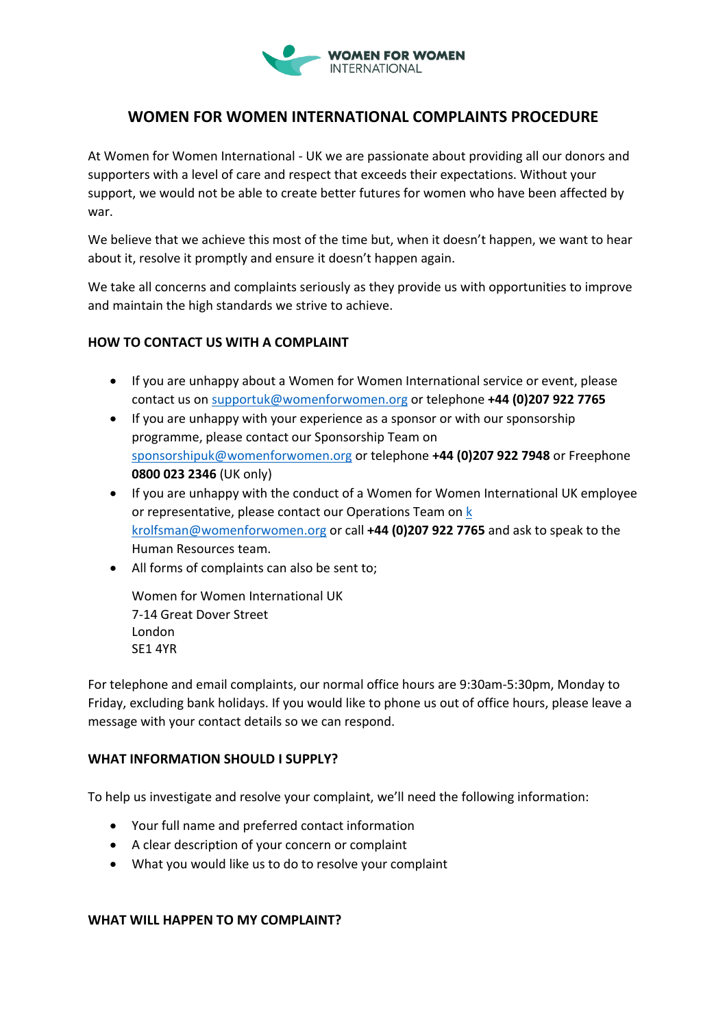

# **WOMEN FOR WOMEN INTERNATIONAL COMPLAINTS PROCEDURE**

At Women for Women International - UK we are passionate about providing all our donors and supporters with a level of care and respect that exceeds their expectations. Without your support, we would not be able to create better futures for women who have been affected by war.

We believe that we achieve this most of the time but, when it doesn't happen, we want to hear about it, resolve it promptly and ensure it doesn't happen again.

We take all concerns and complaints seriously as they provide us with opportunities to improve and maintain the high standards we strive to achieve.

## **HOW TO CONTACT US WITH A COMPLAINT**

- If you are unhappy about a Women for Women International service or event, please contact us on [supportuk@womenforwomen.org](mailto:supportuk@womenforwomen.org) or telephone **+44 (0)207 922 7765**
- If you are unhappy with your experience as a sponsor or with our sponsorship programme, please contact our Sponsorship Team on [sponsorshipuk@womenforwomen.org](mailto:sponsorshipuk@womenforwomen.org) or telephone **+44 (0)207 922 7948** or Freephone **0800 023 2346** (UK only)
- If you are unhappy with the conduct of a Women for Women International UK employee or representative, please contact our Operations Team o[n k](mailto:k%20krolfsman@womenforwomen.org) [krolfsman@womenforwomen.org](mailto:k%20krolfsman@womenforwomen.org) or call **+44 (0)207 922 7765** and ask to speak to the Human Resources team.
- All forms of complaints can also be sent to;

Women for Women International UK 7-14 Great Dover Street London SE1 4YR

For telephone and email complaints, our normal office hours are 9:30am-5:30pm, Monday to Friday, excluding bank holidays. If you would like to phone us out of office hours, please leave a message with your contact details so we can respond.

## WHAT INFORMATION SHOULD LSUPPLY?

To help us investigate and resolve your complaint, we'll need the following information:

- Your full name and preferred contact information
- A clear description of your concern or complaint
- What you would like us to do to resolve your complaint

## **WHAT WILL HAPPEN TO MY COMPLAINT?**